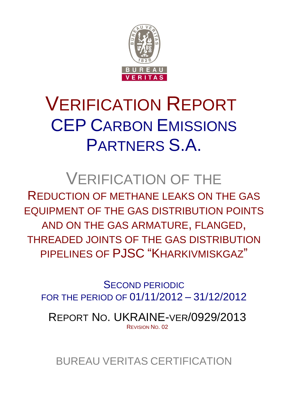

# VERIFICATION REPORT CEP CARBON EMISSIONS PARTNERS S.A.

# VERIFICATION OF THE

REDUCTION OF METHANE LEAKS ON THE GAS EQUIPMENT OF THE GAS DISTRIBUTION POINTS AND ON THE GAS ARMATURE, FLANGED, THREADED JOINTS OF THE GAS DISTRIBUTION PIPELINES OF PJSC "KHARKIVMISKGAZ"

SECOND PERIODIC FOR THE PERIOD OF 01/11/2012 – 31/12/2012

REPORT NO. UKRAINE-VER/0929/2013 REVISION NO. 02

BUREAU VERITAS CERTIFICATION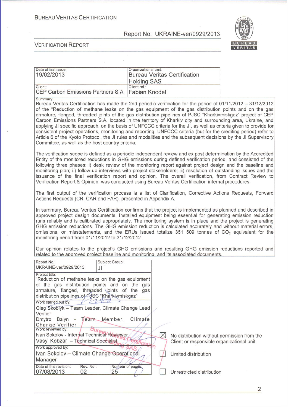#### **BUREAU VERITAS CERTIFICATION**

Report No: UKRAINE-ver/0929/2013



**VERIFICATION REPORT** 

| Date of first issue:<br>19/02/2013                          | Organizational unit:<br><b>Bureau Veritas Certification</b><br><b>Holding SAS</b> |
|-------------------------------------------------------------|-----------------------------------------------------------------------------------|
| Client:<br>CEP Carbon Emissions Partners S.A. Fabian Knodel | Client ref.:                                                                      |

Summary

Bureau Veritas Certification has made the 2nd periodic verification for the period of 01/11/2012 - 31/12/2012 of the "Reduction of methane leaks on the gas equipment of the gas distribution points and on the gas armature, flanged, threaded joints of the gas distribution pipelines of PJSC "Kharkivmiskgaz" project of CEP Carbon Emissions Partners S.A. located in the territory of Kharkiv city and surrounding area. Ukraine, and applying JI specific approach, on the basis of UNFCCC criteria for the JI, as well as criteria given to provide for consistent project operations, monitoring and reporting. UNFCCC criteria (but for the crediting period) refer to Article 6 of the Kyoto Protocol, the JJ rules and modalities and the subsequent decisions by the JJ Supervisory Committee, as well as the host country criteria.

The verification scope is defined as a periodic independent review and ex post determination by the Accredited Entity of the monitored reductions in GHG emissions during defined verification period, and consisted of the following three phases: i) desk review of the monitoring report against project design and the baseline and monitoring plan; ii) follow-up interviews with project stakeholders; iii) resolution of outstanding issues and the issuance of the final verification report and opinion. The overall verification, from Contract Review to Verification Report & Opinion, was conducted using Bureau Veritas Certification internal procedures.

The first output of the verification process is a list of Clarification, Corrective Actions Requests, Forward Actions Requests (CR, CAR and FAR), presented in Appendix A.

In summary, Bureau Veritas Certification confirms that the project is implemented as planned and described in approved project design documents. Installed equipment being essential for generating emission reduction runs reliably and is calibrated appropriately. The monitoring system is in place and the project is generating GHG emission reductions. The GHG emission reduction is calculated accurately and without material errors, omissions, or misstatements, and the ERUs issued totalize 351 509 tonnes of CO<sub>2</sub> equivalent for the monitoring period from 01/11/2012 to 31/12/2012.

Our opinion relates to the project's GHG emissions and resulting GHG emission reductions reported and related to the approved project baseline and monitoring, and its associated documents.

| Report No.:<br>UKRAINE-ver/0929/2013                                                                                                                                                                                | Subject Group:<br>JI   |  |                                             |
|---------------------------------------------------------------------------------------------------------------------------------------------------------------------------------------------------------------------|------------------------|--|---------------------------------------------|
| Project title:<br>"Reduction of methane leaks on the gas equipment<br>of the gas distribution points and on the gas<br>armature, flanged, threaded yoints of the<br>distribution pipelines of PJSC "Kharkiymiskgaz" | gas                    |  |                                             |
| Work carried out by:                                                                                                                                                                                                |                        |  |                                             |
| Oleg Skoblyk - Team Leader, Climate Change Lead                                                                                                                                                                     |                        |  |                                             |
| Verifier<br>Dmytro Balyn - Team Member,<br>Change Verifier                                                                                                                                                          | Climate                |  |                                             |
| Work reviewed by:<br>Ivan Sokolov - Internal Technical Réviewer                                                                                                                                                     |                        |  | No distribution without permission from the |
| Vasyl Kobzar - Technical Specialist.                                                                                                                                                                                |                        |  | Client or responsible organizational unit   |
| Work approved by:                                                                                                                                                                                                   |                        |  |                                             |
| Ivan Sokolov - Climate Change Operational                                                                                                                                                                           |                        |  | Limited distribution                        |
| Manager                                                                                                                                                                                                             |                        |  |                                             |
| Rev. No.:<br>Date of this revision:<br>07/08/2013<br>02                                                                                                                                                             | Number of pages:<br>25 |  | Unrestricted distribution                   |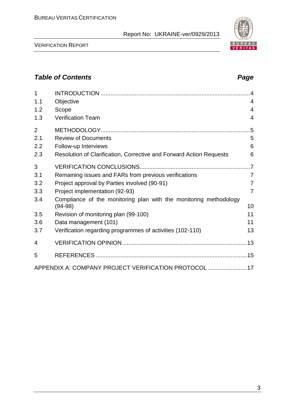| 1              |                                                                     | $\overline{4}$ |
|----------------|---------------------------------------------------------------------|----------------|
| 1.1            | Objective                                                           | 4              |
| 1.2            | Scope                                                               | 4              |
| 1.3            | <b>Verification Team</b>                                            | 4              |
| $\overline{2}$ |                                                                     | .5             |
| 2.1            | <b>Review of Documents</b>                                          | 5              |
| 2.2            | Follow-up Interviews                                                | 6              |
| 2.3            | Resolution of Clarification, Corrective and Forward Action Requests | 6              |
| 3              |                                                                     |                |
| 3.1            | Remaining issues and FARs from previous verifications               | 7              |
| 3.2            | Project approval by Parties involved (90-91)                        | $\overline{7}$ |
| 3.3            | Project implementation (92-93)                                      | 7              |
| 3.4            | Compliance of the monitoring plan with the monitoring methodology   |                |
|                | $(94-98)$                                                           | 10             |
| 3.5            | Revision of monitoring plan (99-100)                                | 11             |
| 3.6            | Data management (101)                                               | 11             |
| 3.7            | Verification regarding programmes of activities (102-110)           | 13             |
| 4              |                                                                     |                |
| 5              |                                                                     |                |
|                | APPENDIX A: COMPANY PROJECT VERIFICATION PROTOCOL 17                |                |

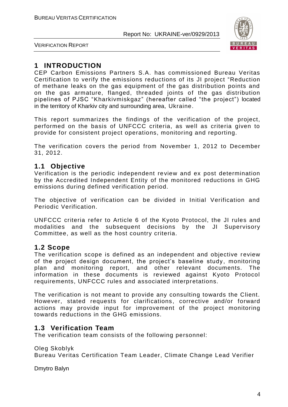

VERIFICATION REPORT

# **1 INTRODUCTION**

CEP Carbon Emissions Partners S.A. has commissioned Bureau Veritas Certification to verify the emissions reductions of its JI project "Reduction of methane leaks on the gas equipment of the gas distribution points and on the gas armature, flanged, threaded joints of the gas distribution pipelines of PJSC "Kharkivmiskgaz" (hereafter called "the project") located in the territory of Kharkiv city and surrounding area, Ukraine.

This report summarizes the findings of the verification of the project, performed on the basis of UNFCCC criteria, as well as criteria given to provide for consistent project operations, monitoring and reporting.

The verification covers the period from November 1, 2012 to December 31, 2012.

# **1.1 Objective**

Verification is the periodic independent re view and ex post determination by the Accredited Independent Entity of the monitored reductions in GHG emissions during defined verification period.

The objective of verification can be divided in Initial Verification and Periodic Verification.

UNFCCC criteria refer to Article 6 of the Kyoto Protocol, the JI rules and modalities and the subsequent decisions by the JI Supervisory Committee, as well as the host country criteria.

#### **1.2 Scope**

The verification scope is defined as an independent and objective review of the project design document, the project's baseline study, monitoring plan and monitoring report, and other relevant documents. The information in these documents is reviewed against Kyoto Protocol requirements, UNFCCC rules and associated interpretations.

The verification is not meant to provide any consulting towards the Client. However, stated requests for clarifications, corrective and/or forward actions may provide input for improvement of the project monitoring towards reductions in the GHG emissions.

# **1.3 Verification Team**

The verification team consists of the following personnel:

Oleg Skoblyk Bureau Veritas Certification Team Leader, Climate Change Lead Verifier

Dmytro Balyn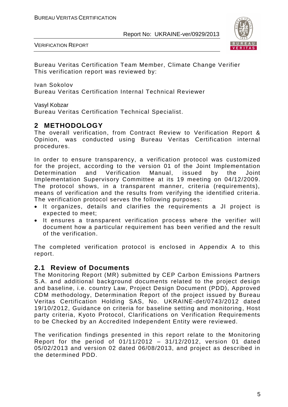



Bureau Veritas Certification Team Member, Climate Change Verifier This verification report was reviewed by:

Ivan Sokolov Bureau Veritas Certification Internal Technical Reviewer

Vasyl Kobzar

Bureau Veritas Certification Technical Specialist.

# **2 METHODOLOGY**

The overall verification, from Contract Review to Verification Report & Opinion, was conducted using Bureau Veritas Certification internal procedures.

In order to ensure transparency, a verification protocol was customized for the project, according to the version 01 of the Joint Implementation Determination and Verification Manual, issued by the Joint Implementation Supervisory Committee at its 19 meeting on 04/12/2009. The protocol shows, in a transparent manner, criteria (requirements), means of verification and the results from verifying the identified criteria. The verification protocol serves the following purposes:

- It organizes, details and clarifies the requirements a JI project is expected to meet;
- It ensures a transparent verification process where the verifier will document how a particular requirement has been verified and the result of the verification.

The completed verification protocol is enclosed in Appendix A to this report.

#### **2.1 Review of Documents**

The Monitoring Report (MR) submitted by CEP Carbon Emissions Partners S.A. and additional background documents related to the project design and baseline, i.e. country Law, Project Design Document (PDD), Approved CDM methodology, Determination Report of the project issued by Bureau Veritas Certification Holding SAS, No. UKRAINE-det/0743/2012 dated 19/10/2012, Guidance on criteria for baseline setting and monitoring, Host party criteria, Kyoto Protocol, Clarifications on Verification Requirements to be Checked by an Accredited Independent Entity were reviewed.

The verification findings presented in this report relate to the Monitoring Report for the period of 01/11/2012 – 31/12/2012, version 01 dated 05/02/2013 and version 02 dated 06/08/2013, and project as described in the determined PDD.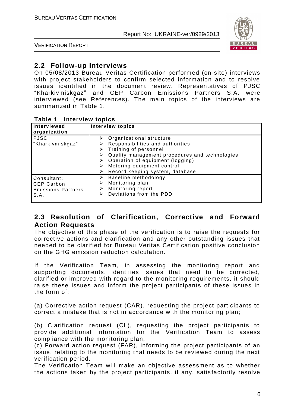

VERIFICATION REPORT

# **2.2 Follow-up Interviews**

On 05/08/2013 Bureau Veritas Certification performed (on-site) interviews with project stakeholders to confirm selected information and to resolve issues identified in the document review. Representatives of PJSC "Kharkivmiskgaz" and CEP Carbon Emissions Partners S.A. were interviewed (see References). The main topics of the interviews are summarized in Table 1.

| Table 1 | <b>Interview topics</b> |  |
|---------|-------------------------|--|
|---------|-------------------------|--|

| Interviewed<br>organization                                           | <b>Interview topics</b>                                                                                                                                                                                                                                                                  |
|-----------------------------------------------------------------------|------------------------------------------------------------------------------------------------------------------------------------------------------------------------------------------------------------------------------------------------------------------------------------------|
| <b>PJSC</b><br>"Kharkivmiskgaz"                                       | $\triangleright$ Organizational structure<br>Responsibilities and authorities<br>$\triangleright$ Training of personnel<br>Quality management procedures and technologies<br>➤<br>Operation of equipment (logging)<br>Metering equipment control<br>Record keeping system, database<br>⋗ |
| Consultant:<br><b>CEP Carbon</b><br><b>Emissions Partners</b><br>S.A. | Baseline methodology<br>➤<br>Monitoring plan<br>➤<br>Monitoring report<br>⋗<br>Deviations from the PDD<br>⋗                                                                                                                                                                              |

#### **2.3 Resolution of Clarification, Corrective and Forward Action Requests**

The objective of this phase of the verification is to raise the requests for corrective actions and clarification and any other outstanding issues that needed to be clarified for Bureau Veritas Certification positive conclusion on the GHG emission reduction calculation.

If the Verification Team, in assessing the monitoring report and supporting documents, identifies issues that need to be corrected, clarified or improved with regard to the monitoring requirements, it should raise these issues and inform the project participants of these issues in the form of:

(a) Corrective action request (CAR), requesting the project participants to correct a mistake that is not in accordance with the monitoring plan;

(b) Clarification request (CL), requesting the project participants to provide additional information for the Verification Team to assess compliance with the monitoring plan;

(c) Forward action request (FAR), informing the project participants of an issue, relating to the monitoring that needs to be reviewed during the next verification period.

The Verification Team will make an objective assessment as to whether the actions taken by the project participants, if any, satisfactorily resolve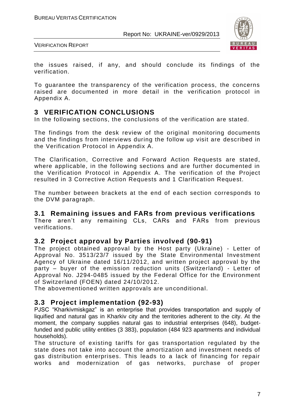

VERIFICATION REPORT

the issues raised, if any, and should conclude its findings of the verification.

To guarantee the transparency of the verification process, the concerns raised are documented in more detail in the verification protocol in Appendix A.

# **3 VERIFICATION CONCLUSIONS**

In the following sections, the conclusions of the verification are stated.

The findings from the desk review of the original monitoring documents and the findings from interviews during the follow up visit are described in the Verification Protocol in Appendix A.

The Clarification, Corrective and Forward Action Requests are stated, where applicable, in the following sections and are further documented in the Verification Protocol in Appendix A. The verification of the Project resulted in 3 Corrective Action Requests and 1 Clarification Request.

The number between brackets at the end of each section corresponds to the DVM paragraph.

#### **3.1 Remaining issues and FARs from previous verifications**

There aren't any remaining CLs, CARs and FARs from previous verifications.

#### **3.2 Project approval by Parties involved (90-91)**

The project obtained approval by the Host party (Ukraine) - Letter of Approval No. 3513/23/7 issued by the State Environmental Investment Agency of Ukraine dated 16/11/2012, and written project approval by the party – buyer of the emission reduction units (Switzerland) - Letter of Approval No. J294-0485 issued by the Federal Office for the Environment of Switzerland (FOEN) dated 24/10/2012.

The abovementioned written approvals are unconditional.

#### **3.3 Project implementation (92-93)**

PJSC "Kharkivmiskgaz" is an enterprise that provides transportation and supply of liquified and natural gas in Kharkiv city and the territories adherent to the city. At the moment, the company supplies natural gas to industrial enterprises (648), budgetfunded and public utility entities (3 383), population (484 923 apartments and individual households).

The structure of existing tariffs for gas transportation regulated by the state does not take into account the amortization and investment needs of gas distribution enterprises. This leads to a lack of financing for repair works and modernization of gas networks, purchase of proper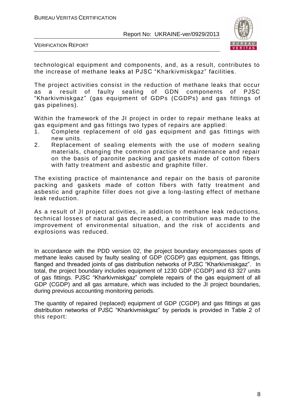

VERIFICATION REPORT

technological equipment and components, and, as a result, contributes to the increase of methane leaks at PJSC "Kharkivmiskgaz" facilities.

The project activities consist in the reduction of methane leaks that occur<br>as a result of faulty sealing of GDN components of PJSC as a result of faulty sealing of GDN components "Kharkivmiskgaz" (gas equipment of GDPs (CGDPs) and gas fittings of gas pipelines).

Within the framework of the JI project in order to repair methane leaks at gas equipment and gas fittings two types of repairs are applied:

- 1. Complete replacement of old gas equipment and gas fittings with new units.
- 2. Replacement of sealing elements with the use of modern sealing materials, changing the common practice of maintenance and repair on the basis of paronite packing and gaskets made of cotton fibers with fatty treatment and asbestic and graphite filler.

The existing practice of maintenance and repair on the basis of paronite packing and gaskets made of cotton fibers with fatty treatment and asbestic and graphite filler does not give a long-lasting effect of methane leak reduction.

As a result of JI project activities, in addition to methane leak reductions, technical losses of natural gas decreased, a contribution was made to the improvement of environmental situation, and the risk of accidents and explosions was reduced.

In accordance with the PDD version 02, the project boundary encompasses spots of methane leaks caused by faulty sealing of GDP (CGDP) gas equipment, gas fittings, flanged and threaded joints of gas distribution networks of PJSC "Kharkivmiskgaz". In total, the project boundary includes equipment of 1230 GDP (CGDP) and 63 327 units of gas fittings. PJSC "Kharkivmiskgaz" complete repairs of the gas equipment of all GDP (CGDP) and all gas armature, which was included to the JI project boundaries, during previous accounting monitoring periods.

The quantity of repaired (replaced) equipment of GDP (CGDP) and gas fittings at gas distribution networks of PJSC "Kharkivmiskgaz" by periods is provided in Table 2 of this report: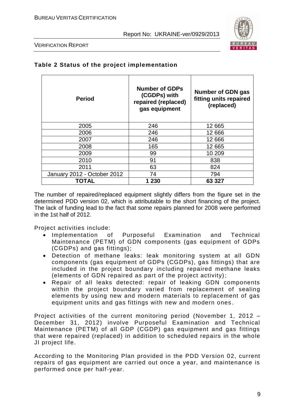

VERIFICATION REPORT

| <b>Period</b>               | <b>Number of GDPs</b><br>(CGDPs) with<br>repaired (replaced)<br>gas equipment | Number of GDN gas<br>fitting units repaired<br>(replaced) |  |  |
|-----------------------------|-------------------------------------------------------------------------------|-----------------------------------------------------------|--|--|
| 2005                        | 246                                                                           | 12 665                                                    |  |  |
| 2006                        | 246                                                                           | 12 666                                                    |  |  |
| 2007                        | 246                                                                           | 12 6 66                                                   |  |  |
| 2008                        | 165                                                                           | 12 665                                                    |  |  |
| 2009                        | 99                                                                            | 10 209                                                    |  |  |
| 2010                        | 91                                                                            | 838                                                       |  |  |
| 2011                        | 63                                                                            | 824                                                       |  |  |
| January 2012 - October 2012 | 74                                                                            | 794                                                       |  |  |
| TOTAL                       | 1 2 3 0                                                                       | 63 327                                                    |  |  |

#### **Table 2 Status of the project implementation**

The number of repaired/replaced equipment slightly differs from the figure set in the determined PDD version 02, which is attributable to the short financing of the project. The lack of funding lead to the fact that some repairs planned for 2008 were performed in the 1st half of 2012.

Project activities include:

- Implementation of Purposeful Examination and Technical Maintenance (PETM) of GDN components (gas equipment of GDPs (CGDPs) and gas fittings);
- Detection of methane leaks: leak monitoring system at all GDN components (gas equipment of GDPs (CGDPs), gas fittings) that are included in the project boundary including repaired methane leaks (elements of GDN repaired as part of the project activity);
- Repair of all leaks detected: repair of leaking GDN components within the project boundary varied from replacement of sealing elements by using new and modern materials to replacement of gas equipment units and gas fittings with new and modern ones .

Project activities of the current monitoring period (November 1, 2012 – December 31, 2012) involve Purposeful Examination and Technical Maintenance (PETM) of all GDP (CGDP) gas equipment and gas fittings that were repaired (replaced) in addition to scheduled repairs in the whole JI project life.

According to the Monitoring Plan provided in the PDD Version 02, current repairs of gas equipment are carried out once a year, and maintenance is performed once per half-year.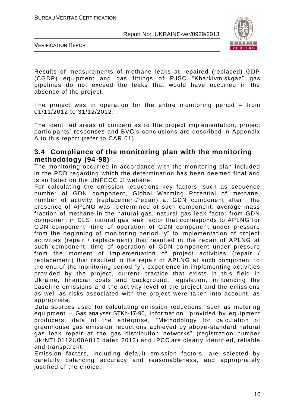

VERIFICATION REPORT

Results of measurements of methane leaks at repaired (replaced) GDP (CGDP) equipment and gas fittings of PJSC "Kharkivmiskgaz" gas pipelines do not exceed the leaks that would have occurred in the absence of the project.

The project was in operation for the entire monitoring period – from 01/11/2012 to 31/12/2012.

The identified areas of concern as to the project implementation, project participants' responses and BVC's conclusions are described in Appendix A to this report (refer to CAR 01).

#### **3.4 Compliance of the monitoring plan with the monitoring methodology (94-98)**

The monitoring occurred in accordance with the monitoring plan included in the PDD regarding which the determination has been deemed final and is so listed on the UNFCCC JI website.

For calculating the emission reductions key factors, such as sequence number of GDN component, Global Warming Potential of methane, number of activity (replacement/repair) at GDN component after the presence of APLNG was determined at such component, average mass fraction of methane in the natural gas, natural gas leak factor from GDN component in CLS, natural gas leak factor that corresponds to APLNG for GDN component, time of operation of GDN component under pressure from the beginning of monitoring period "y" to implementation of project activities (repair / replacement) that resulted in the repair of APLNG at such component, time of operation of GDN component under pressure from the moment of implementation of project activities (repair / replacement) that resulted in the repair of APLNG at such component to the end of the monitoring period "y", experience in implementing activities provided by the project, current practice that exists in this field in Ukraine, financial costs and background, legislation, influencing the baseline emissions and the activity level of the project and the emissions as well as risks associated with the project were taken into account, as appropriate.

Data sources used for calculating emission reductions, such as metering equipment – Gas analyser STKh-17-90, information provided by equipment producers, data of the enterprise, "Methodology for calculation of greenhouse gas emission reductions achieved by above-standard natural gas leak repair at the gas distribution networks" (registration number UkrNTI 0112U00A816 dated 2012) and IPCC are clearly identified, reliable and transparent.

Emission factors, including default emission factors, are selected by carefully balancing accuracy and reasonableness, and appropriately justified of the choice.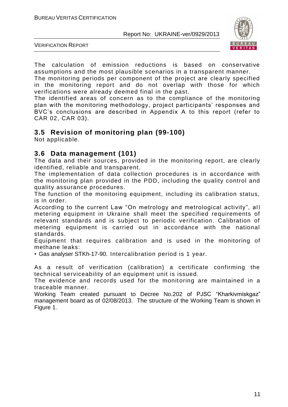

VERIFICATION REPORT

The calculation of emission reductions is based on conservative assumptions and the most plausible scenarios in a transparent manner.

The monitoring periods per component of the project are clearly specified in the monitoring report and do not overlap with those for which verifications were already deemed final in the past.

The identified areas of concern as to the compliance of the monitoring plan with the monitoring methodology, project participants' responses and BVC's conclusions are described in Appendix A to this report (refer to CAR 02, CAR 03).

# **3.5 Revision of monitoring plan (99-100)**

Not applicable.

#### **3.6 Data management (101)**

The data and their sources, provided in the monitoring report, are clearly identified, reliable and transparent.

The implementation of data collection procedures is in accordance with the monitoring plan provided in the PDD, including the quality control and quality assurance procedures.

The function of the monitoring equipment, including its calibration status, is in order.

According to the current Law "On metrology and metrological activity", all metering equipment in Ukraine shall meet the specified requirements of relevant standards and is subject to periodic verification. Calibration of metering equipment is carried out in accordance with the national standards.

Equipment that requires calibration and is used in the monitoring of methane leaks:

• Gas analyser STKh-17-90. Intercalibration period is 1 year.

As a result of verification (calibration) a certificate confirming the technical serviceability of an equipment unit is issued.

The evidence and records used for the monitoring are maintained in a traceable manner.

Working Team created pursuant to Decree No.202 of PJSC "Kharkivmiskgaz" management board as of 02/08/2013. The structure of the Working Team is shown in Figure 1.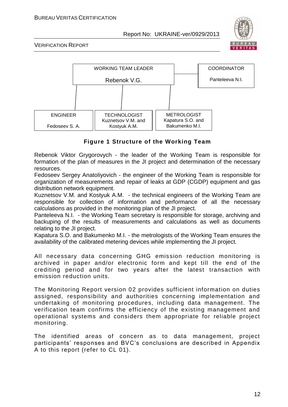

VERIFICATION REPORT



#### **Figure 1 Structure of the Working Team**

Rebenok Viktor Grygorovych - the leader of the Working Team is responsible for formation of the plan of measures in the JI project and determination of the necessary resources.

Fedoseev Sergey Anatoliyovich - the engineer of the Working Team is responsible for organization of measurements and repair of leaks at GDP (CGDP) equipment and gas distribution network equipment.

Kuznetsov V.M. and Kostyuk A.M. - the technical engineers of the Working Team are responsible for collection of information and performance of all the necessary calculations as provided in the monitoring plan of the JI project.

Panteleeva N.I. - the Working Team secretary is responsible for storage, archiving and backuping of the results of measurements and calculations as well as documents relating to the JI project.

Kapatura S.O. and Bakumenko M.I. - the metrologists of the Working Team ensures the availability of the calibrated metering devices while implementing the JI project.

All necessary data concerning GHG emission reduction monitoring is archived in paper and/or electronic form and kept till the end of the crediting period and for two years after the latest transaction with emission reduction units.

The Monitoring Report version 02 provides sufficient information on duties assigned, responsibility and authorities concerning implementation and undertaking of monitoring procedures, including data management. The verification team confirms the efficiency of the existing management and operational systems and considers them appropriate for reliable project monitoring.

The identified areas of concern as to data management, project participants' responses and BVC's conclusions are described in Appendix A to this report (refer to CL 01).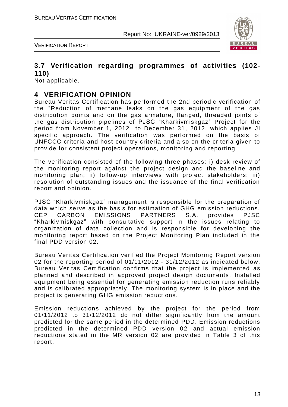



#### **3.7 Verification regarding programmes of activities (102- 110)**

Not applicable.

#### **4 VERIFICATION OPINION**

Bureau Veritas Certification has performed the 2nd periodic verification of the "Reduction of methane leaks on the gas equipment of the gas distribution points and on the gas armature, flanged, threaded joints of the gas distribution pipelines of PJSC "Kharkivmiskgaz" Project for the period from November 1, 2012 to December 31, 2012, which applies JI specific approach. The verification was performed on the basis of UNFCCC criteria and host country criteria and also on the criteria given to provide for consistent project operations, monitoring and reporting.

The verification consisted of the following three phases: i) desk review of the monitoring report against the project design and the baseline and monitoring plan; ii) follow-up interviews with project stakeholders; iii) resolution of outstanding issues and the issuance of the final verification report and opinion.

PJSC "Kharkivmiskgaz" management is responsible for the preparation of data which serve as the basis for estimation of GHG emission reductions. CEP CARBON EMISSIONS PARTNERS S.A. provides PJSC "Kharkivmiskgaz" with consultative support in the issues relating to organization of data collection and is responsible for developing the monitoring report based on the Project Monitoring Plan included in the final PDD version 02.

Bureau Veritas Certification verified the Project Monitoring Report version 02 for the reporting period of 01/11/2012 - 31/12/2012 as indicated below. Bureau Veritas Certification confirms that the project is implemented as planned and described in approved project design documents. Installed equipment being essential for generating emission reduction runs reliably and is calibrated appropriately. The monitoring system is in place and the project is generating GHG emission reductions.

Emission reductions achieved by the project for the period from 01/11/2012 to 31/12/2012 do not differ significantly from the amount predicted for the same period in the determined PDD. Emission reductions predicted in the determined PDD version 02 and actual emission reductions stated in the MR version 02 are provided in Table 3 of this report.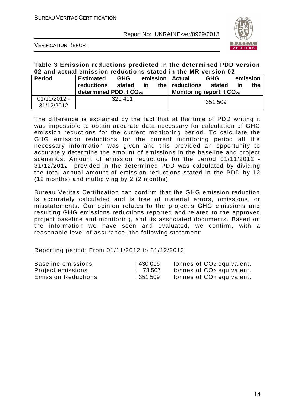

VERIFICATION REPORT

#### **Table 3 Emission reductions predicted in the determined PDD version 02 and actual emission reductions stated in the MR version 02**

| <b>Period</b>                | <b>Estimated</b><br>reductions<br>determined PDD, t CO <sub>2e</sub> | <b>GHG</b><br>stated | <u>in</u> | the I | emission   Actual<br>reductions<br>Monitoring report, t $CO2e$ | <b>GHG</b><br>stated | emission<br><u>in</u> | the |
|------------------------------|----------------------------------------------------------------------|----------------------|-----------|-------|----------------------------------------------------------------|----------------------|-----------------------|-----|
| $01/11/2012 -$<br>31/12/2012 | 321 411                                                              |                      | 351 509   |       |                                                                |                      |                       |     |

The difference is explained by the fact that at the time of PDD writing it was impossible to obtain accurate data necessary for calculation of GHG emission reductions for the current monitoring period. To calculate the GHG emission reductions for the current monitoring period all the necessary information was given and this provided an opportunity to accurately determine the amount of emissions in the baseline and project scenarios. Amount of emission reductions for the period 01/11/2012 - 31/12/2012 provided in the determined PDD was calculated by dividing the total annual amount of emission reductions stated in the PDD by 12 (12 months) and multiplying by 2 (2 months).

Bureau Veritas Certification can confirm that the GHG emission reduction is accurately calculated and is free of material errors, omissions, or misstatements. Our opinion relates to the project's GHG emissions and resulting GHG emissions reductions reported and related to the approved project baseline and monitoring, and its associated documents. Based on the information we have seen and evaluated, we confirm, with a reasonable level of assurance, the following statement:

Reporting period: From 01/11/2012 to 31/12/2012

| Baseline emissions         | :430 016 | tonnes of CO <sub>2</sub> equivalent. |
|----------------------------|----------|---------------------------------------|
| Project emissions          | : 78507  | tonnes of CO <sub>2</sub> equivalent. |
| <b>Emission Reductions</b> | : 351509 | tonnes of CO <sub>2</sub> equivalent. |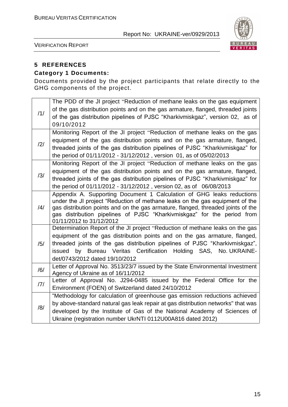

VERIFICATION REPORT

# **5 REFERENCES**

#### **Category 1 Documents:**

Documents provided by the project participants that relate directly to the GHG components of the project.

| /1/            | The PDD of the JI project "Reduction of methane leaks on the gas equipment<br>of the gas distribution points and on the gas armature, flanged, threaded joints<br>of the gas distribution pipelines of PJSC "Kharkivmiskgaz", version 02, as of<br>09/10/2012 |
|----------------|---------------------------------------------------------------------------------------------------------------------------------------------------------------------------------------------------------------------------------------------------------------|
|                | Monitoring Report of the JI project "Reduction of methane leaks on the gas                                                                                                                                                                                    |
| $\frac{12}{1}$ | equipment of the gas distribution points and on the gas armature, flanged,<br>threaded joints of the gas distribution pipelines of PJSC "Kharkivmiskgaz" for                                                                                                  |
|                | the period of 01/11/2012 - 31/12/2012, version 01, as of 05/02/2013                                                                                                                                                                                           |
|                | Monitoring Report of the JI project "Reduction of methane leaks on the gas                                                                                                                                                                                    |
| /3/            | equipment of the gas distribution points and on the gas armature, flanged,                                                                                                                                                                                    |
|                | threaded joints of the gas distribution pipelines of PJSC "Kharkivmiskgaz" for<br>the period of 01/11/2012 - 31/12/2012, version 02, as of 06/08/2013                                                                                                         |
|                | Appendix A. Supporting Document 1 Calculation of GHG leaks reductions                                                                                                                                                                                         |
| $\frac{14}{1}$ | under the JI project "Reduction of methane leaks on the gas equipment of the<br>gas distribution points and on the gas armature, flanged, threaded joints of the                                                                                              |
|                | gas distribution pipelines of PJSC "Kharkivmiskgaz" for the period from<br>01/11/2012 to 31/12/2012                                                                                                                                                           |
|                | Determination Report of the JI project "Reduction of methane leaks on the gas                                                                                                                                                                                 |
|                | equipment of the gas distribution points and on the gas armature, flanged,<br>threaded joints of the gas distribution pipelines of PJSC "Kharkivmiskgaz",                                                                                                     |
| /5/            | issued by Bureau Veritas Certification Holding SAS, No. UKRAINE-                                                                                                                                                                                              |
|                | det/0743/2012 dated 19/10/2012                                                                                                                                                                                                                                |
| /6/            | Letter of Approval No. 3513/23/7 issued by the State Environmental Investment                                                                                                                                                                                 |
|                | Agency of Ukraine as of 16/11/2012<br>Letter of Approval No. J294-0485 issued by the Federal Office for the                                                                                                                                                   |
| 7              | Environment (FOEN) of Switzerland dated 24/10/2012                                                                                                                                                                                                            |
|                | "Methodology for calculation of greenhouse gas emission reductions achieved                                                                                                                                                                                   |
| /8/            | by above-standard natural gas leak repair at gas distribution networks" that was                                                                                                                                                                              |
|                | developed by the Institute of Gas of the National Academy of Sciences of                                                                                                                                                                                      |
|                | Ukraine (registration number UkrNTI 0112U00A816 dated 2012)                                                                                                                                                                                                   |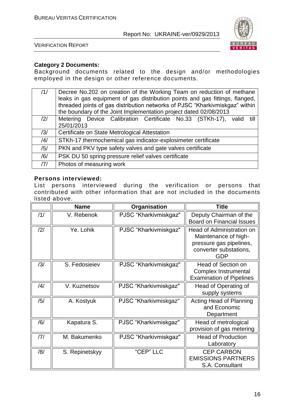

VERIFICATION REPORT

#### **Category 2 Documents:**

Background documents related to the design and/or methodologies employed in the design or other reference documents.

| /1/ | Decree No.202 on creation of the Working Team on reduction of methane<br>leaks in gas equipment of gas distribution points and gas fittings, flanged,<br>threaded joints of gas distribution networks of PJSC "Kharkivmiskgaz" within<br>the boundary of the Joint Implementation project dated 02/08/2013 |
|-----|------------------------------------------------------------------------------------------------------------------------------------------------------------------------------------------------------------------------------------------------------------------------------------------------------------|
| /2/ | Metering Device Calibration Certificate No.33 (STKh-17), valid till                                                                                                                                                                                                                                        |
|     | 25/01/2013                                                                                                                                                                                                                                                                                                 |
| /3/ | Certificate on State Metrological Attestation                                                                                                                                                                                                                                                              |
| /4/ | STKh-17 thermochemical gas indicator-explosimeter certificate                                                                                                                                                                                                                                              |
| /5/ | PKN and PKV type safety valves and gate valves certificate                                                                                                                                                                                                                                                 |
| /6/ | PSK DU 50 spring pressure relief valves certificate                                                                                                                                                                                                                                                        |
| 7   | Photos of measuring work                                                                                                                                                                                                                                                                                   |

#### **Persons interviewed:**

List persons interviewed during the verification or persons that contributed with other information that are not included in the documents listed above.

|                | <b>Name</b>    | Organisation          | <b>Title</b>                                                                                                         |
|----------------|----------------|-----------------------|----------------------------------------------------------------------------------------------------------------------|
| /1/            | V. Rebenok     | PJSC "Kharkivmiskgaz" | Deputy Chairman of the<br><b>Board on Financial Issues</b>                                                           |
| /2/            | Ye. Lohik      | PJSC "Kharkivmiskgaz" | Head of Administration on<br>Maintenance of high-<br>pressure gas pipelines,<br>converter substations,<br><b>GDP</b> |
| /3/            | S. Fedosieiev  | PJSC "Kharkivmiskgaz" | Head of Section on<br><b>Complex Instrumental</b><br><b>Examination of Pipelines</b>                                 |
| $\frac{14}{3}$ | V. Kuznetsov   | PJSC "Kharkivmiskgaz" | Head of Operating of<br>supply systems                                                                               |
| /5/            | A. Kostyuk     | PJSC "Kharkivmiskgaz" | Acting Head of Planning<br>and Economic<br>Department                                                                |
| /6/            | Kapatura S.    | PJSC "Kharkivmiskgaz" | Head of metrological<br>provision of gas metering                                                                    |
| 7              | M. Bakumenko   | PJSC "Kharkivmiskgaz" | <b>Head of Production</b><br>Laboratory                                                                              |
| /8/            | S. Repinetskyy | "CEP" LLC             | <b>CEP CARBON</b><br><b>EMISSIONS PARTNERS</b><br>S.A. Consultant                                                    |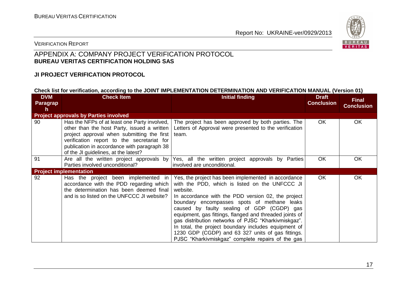

#### VERIFICATION REPORT

#### APPENDIX A: COMPANY PROJECT VERIFICATION PROTOCOL **BUREAU VERITAS CERTIFICATION HOLDING SAS**

#### **JI PROJECT VERIFICATION PROTOCOL**

#### **Check list for verification, according to the JOINT IMPLEMENTATION DETERMINATION AND VERIFICATION MANUAL (Version 01)**

| <b>DVM</b><br>Paragrap<br>h | <b>Check Item</b>                                                                                                                                                                                                                                                              | <b>Initial finding</b>                                                                                                                                                                                                                                                                                                                                                                                                                                                                                                                                   | <b>Draft</b><br><b>Conclusion</b> | <b>Final</b><br><b>Conclusion</b> |
|-----------------------------|--------------------------------------------------------------------------------------------------------------------------------------------------------------------------------------------------------------------------------------------------------------------------------|----------------------------------------------------------------------------------------------------------------------------------------------------------------------------------------------------------------------------------------------------------------------------------------------------------------------------------------------------------------------------------------------------------------------------------------------------------------------------------------------------------------------------------------------------------|-----------------------------------|-----------------------------------|
|                             | <b>Project approvals by Parties involved</b>                                                                                                                                                                                                                                   |                                                                                                                                                                                                                                                                                                                                                                                                                                                                                                                                                          |                                   |                                   |
| 90                          | Has the NFPs of at least one Party involved,<br>other than the host Party, issued a written<br>project approval when submitting the first<br>verification report to the secretariat for<br>publication in accordance with paragraph 38<br>of the JI guidelines, at the latest? | The project has been approved by both parties. The<br>Letters of Approval were presented to the verification<br>team.                                                                                                                                                                                                                                                                                                                                                                                                                                    | OK.                               | OK                                |
| 91                          | Parties involved unconditional?                                                                                                                                                                                                                                                | Are all the written project approvals by Yes, all the written project approvals by Parties<br>involved are unconditional.                                                                                                                                                                                                                                                                                                                                                                                                                                | <b>OK</b>                         | OK                                |
|                             | <b>Project implementation</b>                                                                                                                                                                                                                                                  |                                                                                                                                                                                                                                                                                                                                                                                                                                                                                                                                                          |                                   |                                   |
| 92                          | Has the project been implemented in<br>accordance with the PDD regarding which<br>the determination has been deemed final<br>and is so listed on the UNFCCC JI website?                                                                                                        | Yes, the project has been implemented in accordance<br>with the PDD, which is listed on the UNFCCC JI<br>website.<br>In accordance with the PDD version 02, the project<br>boundary encompasses spots of methane leaks<br>caused by faulty sealing of GDP (CGDP) gas<br>equipment, gas fittings, flanged and threaded joints of<br>gas distribution networks of PJSC "Kharkivmiskgaz".<br>In total, the project boundary includes equipment of<br>1230 GDP (CGDP) and 63 327 units of gas fittings.<br>PJSC "Kharkivmiskgaz" complete repairs of the gas | OK.                               | OK                                |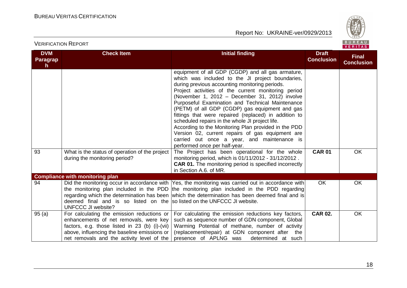

| <b>DVM</b><br><b>Paragrap</b> | <b>Check Item</b>                                                                                                                                                                                                                    | <b>Initial finding</b>                                                                                                                                                                                                                                                                                                                                                                                                                                                                                                                                                                                                                                                                                                                                                                                                                                                              | <b>Draft</b><br><b>Conclusion</b> | <b>Final</b><br><b>Conclusion</b> |
|-------------------------------|--------------------------------------------------------------------------------------------------------------------------------------------------------------------------------------------------------------------------------------|-------------------------------------------------------------------------------------------------------------------------------------------------------------------------------------------------------------------------------------------------------------------------------------------------------------------------------------------------------------------------------------------------------------------------------------------------------------------------------------------------------------------------------------------------------------------------------------------------------------------------------------------------------------------------------------------------------------------------------------------------------------------------------------------------------------------------------------------------------------------------------------|-----------------------------------|-----------------------------------|
| h.<br>93                      | What is the status of operation of the project<br>during the monitoring period?                                                                                                                                                      | equipment of all GDP (CGDP) and all gas armature,<br>which was included to the JI project boundaries,<br>during previous accounting monitoring periods.<br>Project activities of the current monitoring period<br>(November 1, 2012 - December 31, 2012) involve<br>Purposeful Examination and Technical Maintenance<br>(PETM) of all GDP (CGDP) gas equipment and gas<br>fittings that were repaired (replaced) in addition to<br>scheduled repairs in the whole JI project life.<br>According to the Monitoring Plan provided in the PDD<br>Version 02, current repairs of gas equipment are<br>carried out once a year, and maintenance is<br>performed once per half-year.<br>The Project has been operational for the whole<br>monitoring period, which is 01/11/2012 - 31/12/2012.<br><b>CAR 01.</b> The monitoring period is specified incorrectly<br>in Section A.6. of MR. | <b>CAR 01</b>                     | <b>OK</b>                         |
|                               | <b>Compliance with monitoring plan</b>                                                                                                                                                                                               |                                                                                                                                                                                                                                                                                                                                                                                                                                                                                                                                                                                                                                                                                                                                                                                                                                                                                     |                                   |                                   |
| 94                            | deemed final and is so listed on the solisted on the UNFCCC JI website.<br><b>UNFCCC JI website?</b>                                                                                                                                 | Did the monitoring occur in accordance with Yes, the monitoring was carried out in accordance with<br>the monitoring plan included in the PDD the monitoring plan included in the PDD regarding<br>regarding which the determination has been which the determination has been deemed final and is                                                                                                                                                                                                                                                                                                                                                                                                                                                                                                                                                                                  | <b>OK</b>                         | OK                                |
| 95(a)                         | For calculating the emission reductions or<br>enhancements of net removals, were key<br>factors, e.g. those listed in 23 (b) (i)-(vii)<br>above, influencing the baseline emissions or<br>net removals and the activity level of the | For calculating the emission reductions key factors,<br>such as sequence number of GDN component, Global<br>Warming Potential of methane, number of activity<br>(replacement/repair) at GDN component after the<br>presence of APLNG was<br>determined at such                                                                                                                                                                                                                                                                                                                                                                                                                                                                                                                                                                                                                      | <b>CAR 02.</b>                    | <b>OK</b>                         |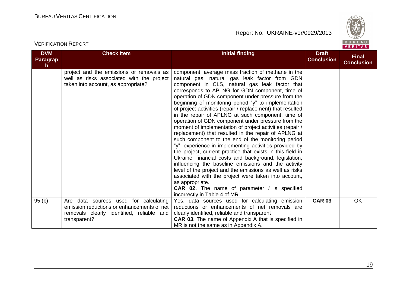

| <b>DVM</b><br><b>Paragrap</b><br>h | <b>Check Item</b>                                                                                                                                | <b>Initial finding</b>                                                                                                                                                                                                                                                                                                                                                                                                                                                                                                                                                                                                                                                                                                                                                                                                                                                                                                                                                                                                                                                                                                                                 | <b>Draft</b><br><b>Conclusion</b> | <b>Final</b><br><b>Conclusion</b> |
|------------------------------------|--------------------------------------------------------------------------------------------------------------------------------------------------|--------------------------------------------------------------------------------------------------------------------------------------------------------------------------------------------------------------------------------------------------------------------------------------------------------------------------------------------------------------------------------------------------------------------------------------------------------------------------------------------------------------------------------------------------------------------------------------------------------------------------------------------------------------------------------------------------------------------------------------------------------------------------------------------------------------------------------------------------------------------------------------------------------------------------------------------------------------------------------------------------------------------------------------------------------------------------------------------------------------------------------------------------------|-----------------------------------|-----------------------------------|
|                                    | project and the emissions or removals as<br>well as risks associated with the project<br>taken into account, as appropriate?                     | component, average mass fraction of methane in the<br>natural gas, natural gas leak factor from GDN<br>component in CLS, natural gas leak factor that<br>corresponds to APLNG for GDN component, time of<br>operation of GDN component under pressure from the<br>beginning of monitoring period "y" to implementation<br>of project activities (repair / replacement) that resulted<br>in the repair of APLNG at such component, time of<br>operation of GDN component under pressure from the<br>moment of implementation of project activities (repair /<br>replacement) that resulted in the repair of APLNG at<br>such component to the end of the monitoring period<br>"y", experience in implementing activities provided by<br>the project, current practice that exists in this field in<br>Ukraine, financial costs and background, legislation,<br>influencing the baseline emissions and the activity<br>level of the project and the emissions as well as risks<br>associated with the project were taken into account,<br>as appropriate.<br><b>CAR 02.</b> The name of parameter <i>i</i> is specified<br>incorrectly in Table 4 of MR. |                                   |                                   |
| 95(b)                              | Are data sources used for calculating<br>emission reductions or enhancements of net<br>removals clearly identified, reliable and<br>transparent? | Yes, data sources used for calculating emission<br>reductions or enhancements of net removals are<br>clearly identified, reliable and transparent<br><b>CAR 03.</b> The name of Appendix A that is specified in<br>MR is not the same as in Appendix A.                                                                                                                                                                                                                                                                                                                                                                                                                                                                                                                                                                                                                                                                                                                                                                                                                                                                                                | <b>CAR 03</b>                     | OK                                |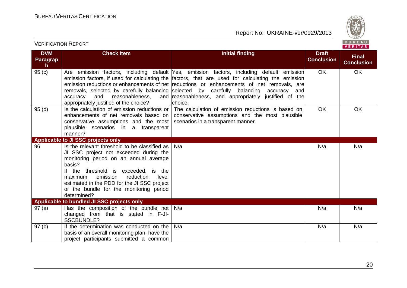

| <b>DVM</b><br>Paragrap<br>h | <b>Check Item</b>                                                                                                                                                                                                                                                                                                                         | <b>Initial finding</b>                                                                                                                                                                                                                                                                                                                                                                                                                                          | <b>Draft</b><br><b>Conclusion</b> | <b>Final</b><br><b>Conclusion</b> |
|-----------------------------|-------------------------------------------------------------------------------------------------------------------------------------------------------------------------------------------------------------------------------------------------------------------------------------------------------------------------------------------|-----------------------------------------------------------------------------------------------------------------------------------------------------------------------------------------------------------------------------------------------------------------------------------------------------------------------------------------------------------------------------------------------------------------------------------------------------------------|-----------------------------------|-----------------------------------|
| 95(c)                       | reasonableness,<br>accuracy<br>and<br>appropriately justified of the choice?                                                                                                                                                                                                                                                              | Are emission factors, including default Yes, emission factors, including default emission<br>emission factors, if used for calculating the factors, that are used for calculating the emission<br>emission reductions or enhancements of net reductions or enhancements of net removals, are<br>removals, selected by carefully balancing selected by carefully balancing accuracy<br>andl<br>and reasonableness, and appropriately justified of the<br>choice. | OK.                               | <b>OK</b>                         |
| 95(d)                       | conservative assumptions and the most   scenarios in a transparent manner.<br>plausible scenarios in a transparent<br>manner?                                                                                                                                                                                                             | Is the calculation of emission reductions or $\vert$ The calculation of emission reductions is based on<br>enhancements of net removals based on   conservative assumptions and the most plausible                                                                                                                                                                                                                                                              | <b>OK</b>                         | <b>OK</b>                         |
|                             | Applicable to JI SSC projects only                                                                                                                                                                                                                                                                                                        |                                                                                                                                                                                                                                                                                                                                                                                                                                                                 |                                   |                                   |
| 96                          | Is the relevant threshold to be classified as<br>JI SSC project not exceeded during the<br>monitoring period on an annual average<br>basis?<br>If the threshold is exceeded, is the<br>emission<br>reduction<br>level<br>maximum<br>estimated in the PDD for the JI SSC project<br>or the bundle for the monitoring period<br>determined? | N/a                                                                                                                                                                                                                                                                                                                                                                                                                                                             | N/a                               | N/a                               |
|                             | Applicable to bundled JI SSC projects only                                                                                                                                                                                                                                                                                                |                                                                                                                                                                                                                                                                                                                                                                                                                                                                 |                                   |                                   |
| 97(a)                       | Has the composition of the bundle not $N/a$<br>changed from that is stated in F-JI-<br><b>SSCBUNDLE?</b>                                                                                                                                                                                                                                  |                                                                                                                                                                                                                                                                                                                                                                                                                                                                 | N/a                               | N/a                               |
| 97(b)                       | If the determination was conducted on the<br>basis of an overall monitoring plan, have the<br>project participants submitted a common                                                                                                                                                                                                     | N/a                                                                                                                                                                                                                                                                                                                                                                                                                                                             | N/a                               | N/a                               |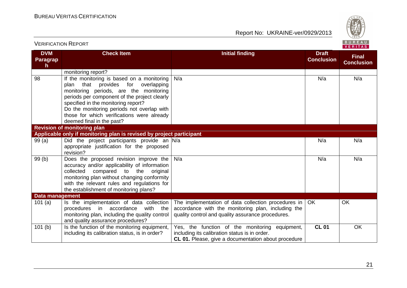

|                                     |                                                                                                                                                                                                                                                                                                                                                  |                                                                                                                                                                |                                   | VERIIAS.                          |
|-------------------------------------|--------------------------------------------------------------------------------------------------------------------------------------------------------------------------------------------------------------------------------------------------------------------------------------------------------------------------------------------------|----------------------------------------------------------------------------------------------------------------------------------------------------------------|-----------------------------------|-----------------------------------|
| <b>DVM</b><br><b>Paragrap</b><br>h. | <b>Check Item</b>                                                                                                                                                                                                                                                                                                                                | <b>Initial finding</b>                                                                                                                                         | <b>Draft</b><br><b>Conclusion</b> | <b>Final</b><br><b>Conclusion</b> |
|                                     | monitoring report?                                                                                                                                                                                                                                                                                                                               |                                                                                                                                                                |                                   |                                   |
| 98                                  | If the monitoring is based on a monitoring<br>that provides for<br>plan<br>overlapping<br>monitoring periods, are the monitoring<br>periods per component of the project clearly<br>specified in the monitoring report?<br>Do the monitoring periods not overlap with<br>those for which verifications were already<br>deemed final in the past? | N/a                                                                                                                                                            | N/a                               | N/a                               |
|                                     | <b>Revision of monitoring plan</b>                                                                                                                                                                                                                                                                                                               |                                                                                                                                                                |                                   |                                   |
|                                     | Applicable only if monitoring plan is revised by project participant                                                                                                                                                                                                                                                                             |                                                                                                                                                                |                                   |                                   |
| 99(a)                               | Did the project participants provide an N/a<br>appropriate justification for the proposed<br>revision?                                                                                                                                                                                                                                           |                                                                                                                                                                | N/a                               | N/a                               |
| 99(b)                               | Does the proposed revision improve the<br>accuracy and/or applicability of information<br>collected compared to the original<br>monitoring plan without changing conformity<br>with the relevant rules and regulations for<br>the establishment of monitoring plans?                                                                             | N/a                                                                                                                                                            | N/a                               | N/a                               |
| Data management                     |                                                                                                                                                                                                                                                                                                                                                  |                                                                                                                                                                |                                   |                                   |
| 101(a)                              | Is the implementation of data collection<br>procedures in<br>accordance<br>with<br>the<br>monitoring plan, including the quality control<br>and quality assurance procedures?                                                                                                                                                                    | The implementation of data collection procedures in<br>accordance with the monitoring plan, including the<br>quality control and quality assurance procedures. | <b>OK</b>                         | OK                                |
| 101(b)                              | Is the function of the monitoring equipment,<br>including its calibration status, is in order?                                                                                                                                                                                                                                                   | Yes, the function of the monitoring equipment,<br>including its calibration status is in order.<br>CL 01. Please, give a documentation about procedure         | <b>CL 01</b>                      | OK                                |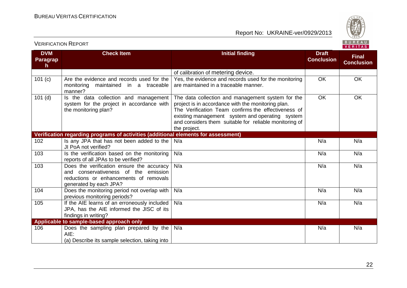

| <b>DVM</b><br>Paragrap<br>h | <b>Check Item</b>                                                                                                                                     | <b>Initial finding</b>                                                                                                                                                                                                                                                                      | <b>Draft</b><br><b>Conclusion</b> | <b>Final</b><br><b>Conclusion</b> |
|-----------------------------|-------------------------------------------------------------------------------------------------------------------------------------------------------|---------------------------------------------------------------------------------------------------------------------------------------------------------------------------------------------------------------------------------------------------------------------------------------------|-----------------------------------|-----------------------------------|
|                             |                                                                                                                                                       | of calibration of metering device.                                                                                                                                                                                                                                                          |                                   |                                   |
| 101 (c)                     | Are the evidence and records used for the<br>monitoring<br>maintained in a traceable<br>manner?                                                       | Yes, the evidence and records used for the monitoring<br>are maintained in a traceable manner.                                                                                                                                                                                              | OK                                | OK                                |
| $101$ (d)                   | Is the data collection and management<br>system for the project in accordance with<br>the monitoring plan?                                            | The data collection and management system for the<br>project is in accordance with the monitoring plan.<br>The Verification Team confirms the effectiveness of<br>existing management system and operating system<br>and considers them suitable for reliable monitoring of<br>the project. | <b>OK</b>                         | OK                                |
|                             | Verification regarding programs of activities (additional elements for assessment)                                                                    |                                                                                                                                                                                                                                                                                             |                                   |                                   |
| 102                         | Is any JPA that has not been added to the<br>JI PoA not verified?                                                                                     | N/a                                                                                                                                                                                                                                                                                         | N/a                               | N/a                               |
| 103                         | Is the verification based on the monitoring<br>reports of all JPAs to be verified?                                                                    | N/a                                                                                                                                                                                                                                                                                         | N/a                               | N/a                               |
| 103                         | Does the verification ensure the accuracy<br>and conservativeness of the emission<br>reductions or enhancements of removals<br>generated by each JPA? | N/a                                                                                                                                                                                                                                                                                         | N/a                               | N/a                               |
| 104                         | Does the monitoring period not overlap with<br>previous monitoring periods?                                                                           | N/a                                                                                                                                                                                                                                                                                         | N/a                               | N/a                               |
| 105                         | If the AIE learns of an erroneously included<br>JPA, has the AIE informed the JISC of its<br>findings in writing?                                     | N/a                                                                                                                                                                                                                                                                                         | N/a                               | N/a                               |
|                             | Applicable to sample-based approach only                                                                                                              |                                                                                                                                                                                                                                                                                             |                                   |                                   |
| 106                         | Does the sampling plan prepared by the<br>AIE:<br>(a) Describe its sample selection, taking into                                                      | N/a                                                                                                                                                                                                                                                                                         | N/a                               | N/a                               |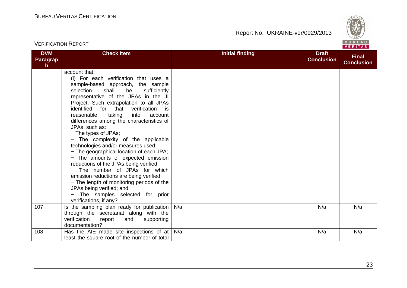

| <b>VERIFICATION REPORT</b>                    |                                                                                                                                                                                                                                                                                                                                                                                                                                                                                                                                                                                                                                                                                                                                                                                                                                       |                        |                                   | BUREAU<br>VERITAS                 |  |
|-----------------------------------------------|---------------------------------------------------------------------------------------------------------------------------------------------------------------------------------------------------------------------------------------------------------------------------------------------------------------------------------------------------------------------------------------------------------------------------------------------------------------------------------------------------------------------------------------------------------------------------------------------------------------------------------------------------------------------------------------------------------------------------------------------------------------------------------------------------------------------------------------|------------------------|-----------------------------------|-----------------------------------|--|
| <b>DVM</b><br><b>Paragrap</b><br>$\mathsf{h}$ | <b>Check Item</b>                                                                                                                                                                                                                                                                                                                                                                                                                                                                                                                                                                                                                                                                                                                                                                                                                     | <b>Initial finding</b> | <b>Draft</b><br><b>Conclusion</b> | <b>Final</b><br><b>Conclusion</b> |  |
|                                               | account that:<br>(i) For each verification that uses a<br>sample-based approach, the sample<br>selection<br>shall<br>be<br>sufficiently<br>representative of the JPAs in the JI<br>Project. Such extrapolation to all JPAs<br>identified for that verification<br>is is<br>taking<br>reasonable,<br>into<br>account<br>differences among the characteristics of<br>JPAs, such as:<br>- The types of JPAs;<br>- The complexity of the applicable<br>technologies and/or measures used;<br>- The geographical location of each JPA;<br>- The amounts of expected emission<br>reductions of the JPAs being verified;<br>- The number of JPAs for which<br>emission reductions are being verified;<br>- The length of monitoring periods of the<br>JPAs being verified; and<br>- The samples selected for prior<br>verifications, if any? |                        |                                   |                                   |  |
| 107                                           | Is the sampling plan ready for publication<br>through the secretariat along with the<br>verification<br>report<br>and<br>supporting<br>documentation?                                                                                                                                                                                                                                                                                                                                                                                                                                                                                                                                                                                                                                                                                 | N/a                    | N/a                               | N/a                               |  |
| 108                                           | Has the AIE made site inspections of at $\vert$ N/a<br>least the square root of the number of total                                                                                                                                                                                                                                                                                                                                                                                                                                                                                                                                                                                                                                                                                                                                   |                        | N/a                               | N/a                               |  |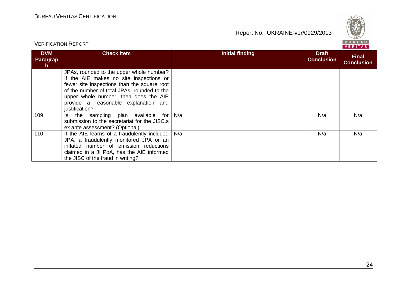

|                                     | <b>VERIFICATION REPORT</b>                                                                                                                                                                                                                                                           |                        | BURFAU<br>VERITAS                 |                                   |
|-------------------------------------|--------------------------------------------------------------------------------------------------------------------------------------------------------------------------------------------------------------------------------------------------------------------------------------|------------------------|-----------------------------------|-----------------------------------|
| <b>DVM</b><br><b>Paragrap</b><br>h. | <b>Check Item</b>                                                                                                                                                                                                                                                                    | <b>Initial finding</b> | <b>Draft</b><br><b>Conclusion</b> | <b>Final</b><br><b>Conclusion</b> |
|                                     | JPAs, rounded to the upper whole number?<br>If the AIE makes no site inspections or<br>fewer site inspections than the square root<br>of the number of total JPAs, rounded to the<br>upper whole number, then does the AIE<br>provide a reasonable explanation and<br>justification? |                        |                                   |                                   |
| 109                                 | the sampling plan available<br>for<br>Is.<br>submission to the secretariat for the JISC.s<br>ex ante assessment? (Optional)                                                                                                                                                          | N/a                    | N/a                               | N/a                               |
| 110                                 | If the AIE learns of a fraudulently included<br>JPA, a fraudulently monitored JPA or an<br>inflated number of emission reductions<br>claimed in a JI PoA, has the AIE informed<br>the JISC of the fraud in writing?                                                                  | N/a                    | N/a                               | N/a                               |

#### 24